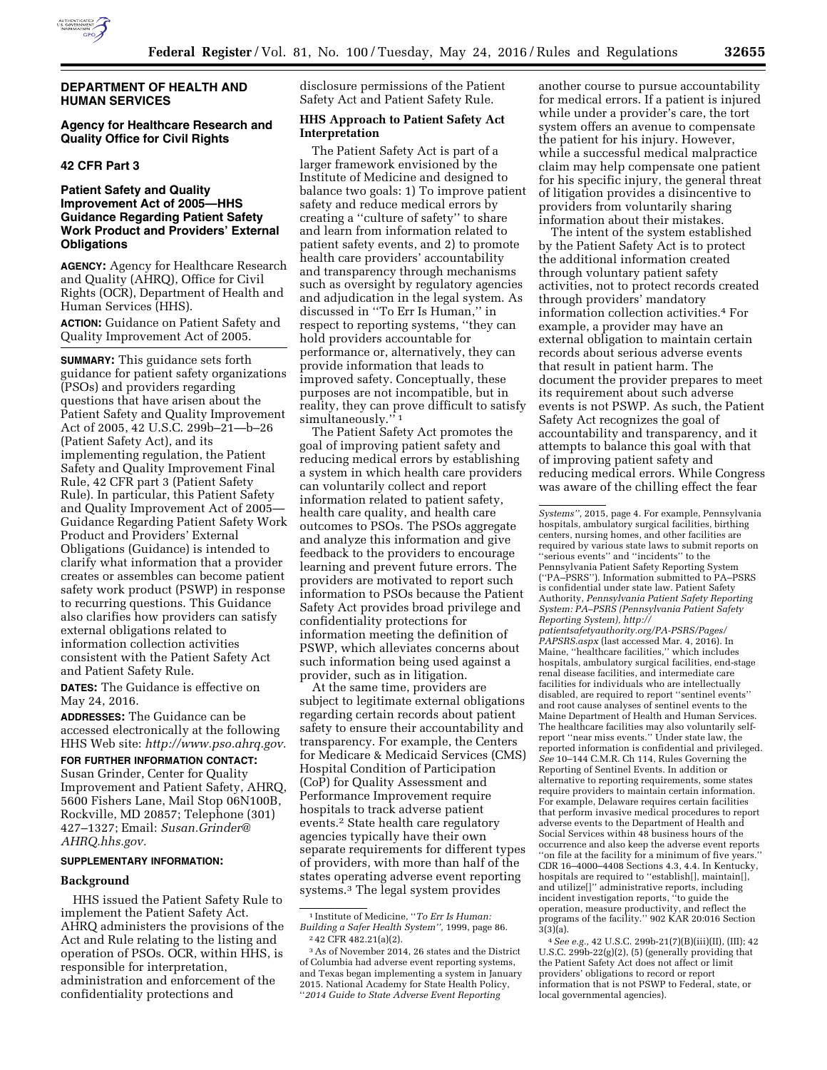

## **DEPARTMENT OF HEALTH AND HUMAN SERVICES**

# **Agency for Healthcare Research and Quality Office for Civil Rights**

### **42 CFR Part 3**

## **Patient Safety and Quality Improvement Act of 2005—HHS Guidance Regarding Patient Safety Work Product and Providers' External Obligations**

**AGENCY:** Agency for Healthcare Research and Quality (AHRQ), Office for Civil Rights (OCR), Department of Health and Human Services (HHS).

**ACTION:** Guidance on Patient Safety and Quality Improvement Act of 2005.

**SUMMARY:** This guidance sets forth guidance for patient safety organizations (PSOs) and providers regarding questions that have arisen about the Patient Safety and Quality Improvement Act of 2005, 42 U.S.C. 299b–21—b–26 (Patient Safety Act), and its implementing regulation, the Patient Safety and Quality Improvement Final Rule, 42 CFR part 3 (Patient Safety Rule). In particular, this Patient Safety and Quality Improvement Act of 2005— Guidance Regarding Patient Safety Work Product and Providers' External Obligations (Guidance) is intended to clarify what information that a provider creates or assembles can become patient safety work product (PSWP) in response to recurring questions. This Guidance also clarifies how providers can satisfy external obligations related to information collection activities consistent with the Patient Safety Act and Patient Safety Rule.

**DATES:** The Guidance is effective on May 24, 2016.

**ADDRESSES:** The Guidance can be accessed electronically at the following HHS Web site: *[http://www.pso.ahrq.gov.](http://www.pso.ahrq.gov)* 

**FOR FURTHER INFORMATION CONTACT:**  Susan Grinder, Center for Quality Improvement and Patient Safety, AHRQ, 5600 Fishers Lane, Mail Stop 06N100B, Rockville, MD 20857; Telephone (301) 427–1327; Email: *[Susan.Grinder@](mailto:Susan.Grinder@AHRQ.hhs.gov) [AHRQ.hhs.gov.](mailto:Susan.Grinder@AHRQ.hhs.gov)* 

# **SUPPLEMENTARY INFORMATION:**

#### **Background**

HHS issued the Patient Safety Rule to implement the Patient Safety Act. AHRQ administers the provisions of the Act and Rule relating to the listing and operation of PSOs. OCR, within HHS, is responsible for interpretation, administration and enforcement of the confidentiality protections and

disclosure permissions of the Patient Safety Act and Patient Safety Rule.

# **HHS Approach to Patient Safety Act Interpretation**

The Patient Safety Act is part of a larger framework envisioned by the Institute of Medicine and designed to balance two goals: 1) To improve patient safety and reduce medical errors by creating a ''culture of safety'' to share and learn from information related to patient safety events, and 2) to promote health care providers' accountability and transparency through mechanisms such as oversight by regulatory agencies and adjudication in the legal system. As discussed in ''To Err Is Human,'' in respect to reporting systems, ''they can hold providers accountable for performance or, alternatively, they can provide information that leads to improved safety. Conceptually, these purposes are not incompatible, but in reality, they can prove difficult to satisfy simultaneously.'

The Patient Safety Act promotes the goal of improving patient safety and reducing medical errors by establishing a system in which health care providers can voluntarily collect and report information related to patient safety, health care quality, and health care outcomes to PSOs. The PSOs aggregate and analyze this information and give feedback to the providers to encourage learning and prevent future errors. The providers are motivated to report such information to PSOs because the Patient Safety Act provides broad privilege and confidentiality protections for information meeting the definition of PSWP, which alleviates concerns about such information being used against a provider, such as in litigation.

At the same time, providers are subject to legitimate external obligations regarding certain records about patient safety to ensure their accountability and transparency. For example, the Centers for Medicare & Medicaid Services (CMS) Hospital Condition of Participation (CoP) for Quality Assessment and Performance Improvement require hospitals to track adverse patient events.2 State health care regulatory agencies typically have their own separate requirements for different types of providers, with more than half of the states operating adverse event reporting systems.3 The legal system provides

another course to pursue accountability for medical errors. If a patient is injured while under a provider's care, the tort system offers an avenue to compensate the patient for his injury. However, while a successful medical malpractice claim may help compensate one patient for his specific injury, the general threat of litigation provides a disincentive to providers from voluntarily sharing information about their mistakes.

The intent of the system established by the Patient Safety Act is to protect the additional information created through voluntary patient safety activities, not to protect records created through providers' mandatory information collection activities.4 For example, a provider may have an external obligation to maintain certain records about serious adverse events that result in patient harm. The document the provider prepares to meet its requirement about such adverse events is not PSWP. As such, the Patient Safety Act recognizes the goal of accountability and transparency, and it attempts to balance this goal with that of improving patient safety and reducing medical errors. While Congress was aware of the chilling effect the fear

<sup>1</sup> Institute of Medicine, ''*To Err Is Human: Building a Safer Health System'',* 1999, page 86. 2 42 CFR 482.21(a)(2).

<sup>3</sup>As of November 2014, 26 states and the District of Columbia had adverse event reporting systems, and Texas began implementing a system in January 2015. National Academy for State Health Policy, ''*2014 Guide to State Adverse Event Reporting* 

*Systems'',* 2015, page 4. For example, Pennsylvania hospitals, ambulatory surgical facilities, birthing centers, nursing homes, and other facilities are required by various state laws to submit reports on ''serious events'' and ''incidents'' to the Pennsylvania Patient Safety Reporting System (''PA–PSRS''). Information submitted to PA–PSRS is confidential under state law. Patient Safety Authority, *Pennsylvania Patient Safety Reporting System: PA–PSRS (Pennsylvania Patient Safety Reporting System), [http://](http://patientsafetyauthority.org/PA-PSRS/Pages/PAPSRS.aspx) [patientsafetyauthority.org/PA-PSRS/Pages/](http://patientsafetyauthority.org/PA-PSRS/Pages/PAPSRS.aspx) [PAPSRS.aspx](http://patientsafetyauthority.org/PA-PSRS/Pages/PAPSRS.aspx)* (last accessed Mar. 4, 2016). In Maine, ''healthcare facilities,'' which includes hospitals, ambulatory surgical facilities, end-stage renal disease facilities, and intermediate care facilities for individuals who are intellectually disabled, are required to report ''sentinel events'' and root cause analyses of sentinel events to the Maine Department of Health and Human Services. The healthcare facilities may also voluntarily selfreport ''near miss events.'' Under state law, the reported information is confidential and privileged. *See* 10–144 C.M.R. Ch 114, Rules Governing the Reporting of Sentinel Events. In addition or alternative to reporting requirements, some states require providers to maintain certain information. For example, Delaware requires certain facilities that perform invasive medical procedures to report adverse events to the Department of Health and Social Services within 48 business hours of the occurrence and also keep the adverse event reports ''on file at the facility for a minimum of five years.'' CDR 16–4000–4408 Sections 4.3, 4.4. In Kentucky, hospitals are required to ''establish[], maintain[], and utilize[]'' administrative reports, including incident investigation reports, ''to guide the operation, measure productivity, and reflect the programs of the facility.'' 902 KAR 20:016 Section

<sup>3(3)(</sup>a). 4*See e.g.,* 42 U.S.C. 299b-21(7)(B)(iii)(II), (III); 42 U.S.C. 299b-22(g)(2), (5) (generally providing that the Patient Safety Act does not affect or limit providers' obligations to record or report information that is not PSWP to Federal, state, or local governmental agencies).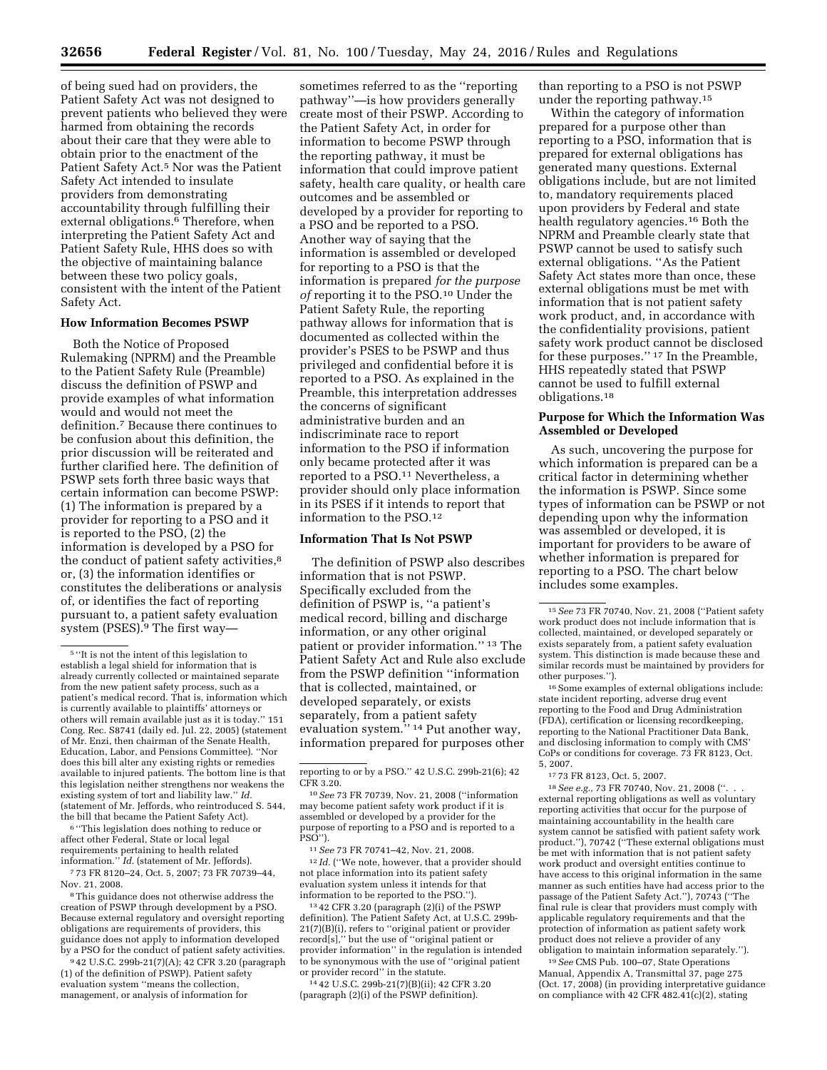of being sued had on providers, the Patient Safety Act was not designed to prevent patients who believed they were harmed from obtaining the records about their care that they were able to obtain prior to the enactment of the Patient Safety Act.<sup>5</sup> Nor was the Patient Safety Act intended to insulate providers from demonstrating accountability through fulfilling their external obligations.<sup>6</sup> Therefore, when interpreting the Patient Safety Act and Patient Safety Rule, HHS does so with the objective of maintaining balance between these two policy goals, consistent with the intent of the Patient Safety Act.

#### **How Information Becomes PSWP**

Both the Notice of Proposed Rulemaking (NPRM) and the Preamble to the Patient Safety Rule (Preamble) discuss the definition of PSWP and provide examples of what information would and would not meet the definition.7 Because there continues to be confusion about this definition, the prior discussion will be reiterated and further clarified here. The definition of PSWP sets forth three basic ways that certain information can become PSWP: (1) The information is prepared by a provider for reporting to a PSO and it is reported to the PSO, (2) the information is developed by a PSO for the conduct of patient safety activities,<sup>8</sup> or, (3) the information identifies or constitutes the deliberations or analysis of, or identifies the fact of reporting pursuant to, a patient safety evaluation system (PSES).9 The first way—

6 ''This legislation does nothing to reduce or affect other Federal, State or local legal requirements pertaining to health related information.'' *Id.* (statement of Mr. Jeffords).

7 73 FR 8120–24, Oct. 5, 2007; 73 FR 70739–44, Nov. 21, 2008.

8This guidance does not otherwise address the creation of PSWP through development by a PSO. Because external regulatory and oversight reporting obligations are requirements of providers, this guidance does not apply to information developed by a PSO for the conduct of patient safety activities.

9 42 U.S.C. 299b-21(7)(A); 42 CFR 3.20 (paragraph (1) of the definition of PSWP). Patient safety evaluation system ''means the collection, management, or analysis of information for

sometimes referred to as the ''reporting pathway''—is how providers generally create most of their PSWP. According to the Patient Safety Act, in order for information to become PSWP through the reporting pathway, it must be information that could improve patient safety, health care quality, or health care outcomes and be assembled or developed by a provider for reporting to a PSO and be reported to a PSO. Another way of saying that the information is assembled or developed for reporting to a PSO is that the information is prepared *for the purpose of* reporting it to the PSO.10 Under the Patient Safety Rule, the reporting pathway allows for information that is documented as collected within the provider's PSES to be PSWP and thus privileged and confidential before it is reported to a PSO. As explained in the Preamble, this interpretation addresses the concerns of significant administrative burden and an indiscriminate race to report information to the PSO if information only became protected after it was reported to a PSO.11 Nevertheless, a provider should only place information in its PSES if it intends to report that information to the PSO.12

## **Information That Is Not PSWP**

The definition of PSWP also describes information that is not PSWP. Specifically excluded from the definition of PSWP is, ''a patient's medical record, billing and discharge information, or any other original patient or provider information.'' 13 The Patient Safety Act and Rule also exclude from the PSWP definition ''information that is collected, maintained, or developed separately, or exists separately, from a patient safety evaluation system.'' 14 Put another way, information prepared for purposes other

11*See* 73 FR 70741–42, Nov. 21, 2008. <sup>12</sup> *Id.* ("We note, however, that a provider should not place information into its patient safety evaluation system unless it intends for that information to be reported to the PSO.'').

13 42 CFR 3.20 (paragraph (2)(i) of the PSWP definition). The Patient Safety Act, at U.S.C. 299b-21(7)(B)(i), refers to ''original patient or provider record[s],'' but the use of ''original patient or provider information'' in the regulation is intended to be synonymous with the use of ''original patient or provider record'' in the statute.

14 42 U.S.C. 299b-21(7)(B)(ii); 42 CFR 3.20 (paragraph (2)(i) of the PSWP definition).

than reporting to a PSO is not PSWP under the reporting pathway.15

Within the category of information prepared for a purpose other than reporting to a PSO, information that is prepared for external obligations has generated many questions. External obligations include, but are not limited to, mandatory requirements placed upon providers by Federal and state health regulatory agencies.16 Both the NPRM and Preamble clearly state that PSWP cannot be used to satisfy such external obligations. ''As the Patient Safety Act states more than once, these external obligations must be met with information that is not patient safety work product, and, in accordance with the confidentiality provisions, patient safety work product cannot be disclosed for these purposes.'' 17 In the Preamble, HHS repeatedly stated that PSWP cannot be used to fulfill external obligations.18

# **Purpose for Which the Information Was Assembled or Developed**

As such, uncovering the purpose for which information is prepared can be a critical factor in determining whether the information is PSWP. Since some types of information can be PSWP or not depending upon why the information was assembled or developed, it is important for providers to be aware of whether information is prepared for reporting to a PSO. The chart below includes some examples.

16Some examples of external obligations include: state incident reporting, adverse drug event reporting to the Food and Drug Administration (FDA), certification or licensing recordkeeping, reporting to the National Practitioner Data Bank, and disclosing information to comply with CMS' CoPs or conditions for coverage. 73 FR 8123, Oct. 5, 2007.

18*See e.g.,* 73 FR 70740, Nov. 21, 2008 (''. . . external reporting obligations as well as voluntary reporting activities that occur for the purpose of maintaining accountability in the health care system cannot be satisfied with patient safety work product.''), 70742 (''These external obligations must be met with information that is not patient safety work product and oversight entities continue to have access to this original information in the same manner as such entities have had access prior to the passage of the Patient Safety Act.''), 70743 (''The final rule is clear that providers must comply with applicable regulatory requirements and that the protection of information as patient safety work product does not relieve a provider of any obligation to maintain information separately.'').

19*See* CMS Pub. 100–07, State Operations Manual, Appendix A, Transmittal 37, page 275 (Oct. 17, 2008) (in providing interpretative guidance on compliance with 42 CFR 482.41(c)(2), stating

<sup>5</sup> ''It is not the intent of this legislation to establish a legal shield for information that is already currently collected or maintained separate from the new patient safety process, such as a patient's medical record. That is, information which is currently available to plaintiffs' attorneys or others will remain available just as it is today.'' 151 Cong. Rec. S8741 (daily ed. Jul. 22, 2005) (statement of Mr. Enzi, then chairman of the Senate Health, Education, Labor, and Pensions Committee). ''Nor does this bill alter any existing rights or remedies available to injured patients. The bottom line is that this legislation neither strengthens nor weakens the existing system of tort and liability law.'' *Id.*  (statement of Mr. Jeffords, who reintroduced S. 544, the bill that became the Patient Safety Act).

reporting to or by a PSO.'' 42 U.S.C. 299b-21(6); 42 CFR 3.20.

<sup>10</sup>*See* 73 FR 70739, Nov. 21, 2008 (''information may become patient safety work product if it is assembled or developed by a provider for the purpose of reporting to a PSO and is reported to a PSO'').

<sup>15</sup>*See* 73 FR 70740, Nov. 21, 2008 (''Patient safety work product does not include information that is collected, maintained, or developed separately or exists separately from, a patient safety evaluation system. This distinction is made because these and similar records must be maintained by providers for other purposes.'').

<sup>17</sup> 73 FR 8123, Oct. 5, 2007.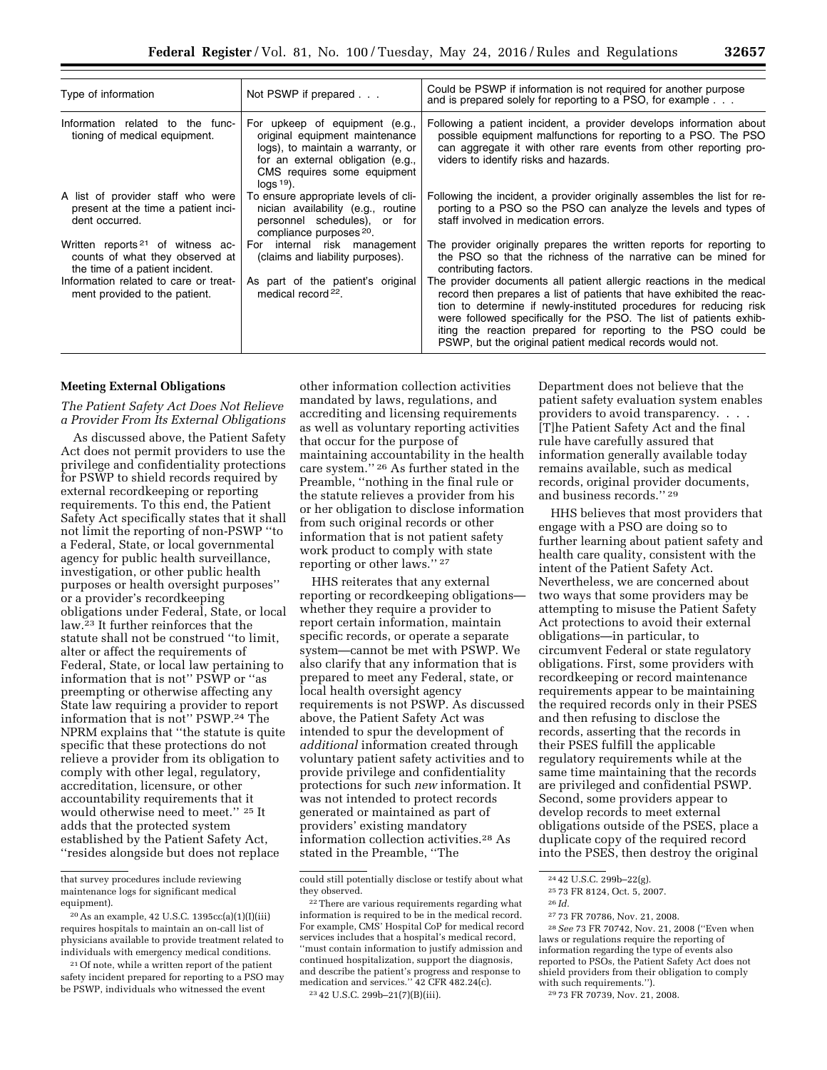| Type of information                                                                                                | Not PSWP if prepared                                                                                                                                                                     | Could be PSWP if information is not required for another purpose<br>and is prepared solely for reporting to a PSO, for example                                                                                                                                                                                                                                                                                           |
|--------------------------------------------------------------------------------------------------------------------|------------------------------------------------------------------------------------------------------------------------------------------------------------------------------------------|--------------------------------------------------------------------------------------------------------------------------------------------------------------------------------------------------------------------------------------------------------------------------------------------------------------------------------------------------------------------------------------------------------------------------|
| Information related to the func-<br>tioning of medical equipment.                                                  | For upkeep of equipment (e.g.,<br>original equipment maintenance<br>logs), to maintain a warranty, or<br>for an external obligation (e.g.,<br>CMS requires some equipment<br>$\log$ 19). | Following a patient incident, a provider develops information about<br>possible equipment malfunctions for reporting to a PSO. The PSO<br>can aggregate it with other rare events from other reporting pro-<br>viders to identify risks and hazards.                                                                                                                                                                     |
| A list of provider staff who were<br>present at the time a patient inci-<br>dent occurred.                         | To ensure appropriate levels of cli-<br>nician availability (e.g., routine<br>personnel schedules), or for<br>compliance purposes <sup>20</sup> .                                        | Following the incident, a provider originally assembles the list for re-<br>porting to a PSO so the PSO can analyze the levels and types of<br>staff involved in medication errors.                                                                                                                                                                                                                                      |
| Written reports <sup>21</sup> of witness ac-<br>counts of what they observed at<br>the time of a patient incident. | For internal risk management<br>(claims and liability purposes).                                                                                                                         | The provider originally prepares the written reports for reporting to<br>the PSO so that the richness of the narrative can be mined for<br>contributing factors.                                                                                                                                                                                                                                                         |
| Information related to care or treat-<br>ment provided to the patient.                                             | As part of the patient's original<br>medical record <sup>22</sup> .                                                                                                                      | The provider documents all patient allergic reactions in the medical<br>record then prepares a list of patients that have exhibited the reac-<br>tion to determine if newly-instituted procedures for reducing risk<br>were followed specifically for the PSO. The list of patients exhib-<br>iting the reaction prepared for reporting to the PSO could be<br>PSWP, but the original patient medical records would not. |

## **Meeting External Obligations**

*The Patient Safety Act Does Not Relieve a Provider From Its External Obligations* 

As discussed above, the Patient Safety Act does not permit providers to use the privilege and confidentiality protections for PSWP to shield records required by external recordkeeping or reporting requirements. To this end, the Patient Safety Act specifically states that it shall not limit the reporting of non-PSWP ''to a Federal, State, or local governmental agency for public health surveillance, investigation, or other public health purposes or health oversight purposes'' or a provider's recordkeeping obligations under Federal, State, or local law.23 It further reinforces that the statute shall not be construed ''to limit, alter or affect the requirements of Federal, State, or local law pertaining to information that is not'' PSWP or ''as preempting or otherwise affecting any State law requiring a provider to report information that is not'' PSWP.24 The NPRM explains that ''the statute is quite specific that these protections do not relieve a provider from its obligation to comply with other legal, regulatory, accreditation, licensure, or other accountability requirements that it would otherwise need to meet.'' 25 It adds that the protected system established by the Patient Safety Act, ''resides alongside but does not replace

21Of note, while a written report of the patient safety incident prepared for reporting to a PSO may be PSWP, individuals who witnessed the event

other information collection activities mandated by laws, regulations, and accrediting and licensing requirements as well as voluntary reporting activities that occur for the purpose of maintaining accountability in the health care system.'' 26 As further stated in the Preamble, ''nothing in the final rule or the statute relieves a provider from his or her obligation to disclose information from such original records or other information that is not patient safety work product to comply with state reporting or other laws.'' 27

HHS reiterates that any external reporting or recordkeeping obligations whether they require a provider to report certain information, maintain specific records, or operate a separate system—cannot be met with PSWP. We also clarify that any information that is prepared to meet any Federal, state, or local health oversight agency requirements is not PSWP. As discussed above, the Patient Safety Act was intended to spur the development of *additional* information created through voluntary patient safety activities and to provide privilege and confidentiality protections for such *new* information. It was not intended to protect records generated or maintained as part of providers' existing mandatory information collection activities.28 As stated in the Preamble, ''The

Department does not believe that the patient safety evaluation system enables providers to avoid transparency. . . . [T]he Patient Safety Act and the final rule have carefully assured that information generally available today remains available, such as medical records, original provider documents, and business records.'' 29

HHS believes that most providers that engage with a PSO are doing so to further learning about patient safety and health care quality, consistent with the intent of the Patient Safety Act. Nevertheless, we are concerned about two ways that some providers may be attempting to misuse the Patient Safety Act protections to avoid their external obligations—in particular, to circumvent Federal or state regulatory obligations. First, some providers with recordkeeping or record maintenance requirements appear to be maintaining the required records only in their PSES and then refusing to disclose the records, asserting that the records in their PSES fulfill the applicable regulatory requirements while at the same time maintaining that the records are privileged and confidential PSWP. Second, some providers appear to develop records to meet external obligations outside of the PSES, place a duplicate copy of the required record into the PSES, then destroy the original

25 73 FR 8124, Oct. 5, 2007.

27 73 FR 70786, Nov. 21, 2008.

that survey procedures include reviewing maintenance logs for significant medical equipment).

<sup>20</sup>As an example, 42 U.S.C. 1395cc(a)(1)(I)(iii) requires hospitals to maintain an on-call list of physicians available to provide treatment related to individuals with emergency medical conditions.

could still potentially disclose or testify about what they observed.

<sup>22</sup>There are various requirements regarding what information is required to be in the medical record. For example, CMS' Hospital CoP for medical record services includes that a hospital's medical record, ''must contain information to justify admission and continued hospitalization, support the diagnosis, and describe the patient's progress and response to medication and services.'' 42 CFR 482.24(c). 23 42 U.S.C. 299b–21(7)(B)(iii).

<sup>24</sup> 42 U.S.C. 299b–22(g).

<sup>26</sup> *Id.* 

<sup>28</sup>*See* 73 FR 70742, Nov. 21, 2008 (''Even when laws or regulations require the reporting of information regarding the type of events also reported to PSOs, the Patient Safety Act does not shield providers from their obligation to comply with such requirements.''). 29 73 FR 70739, Nov. 21, 2008.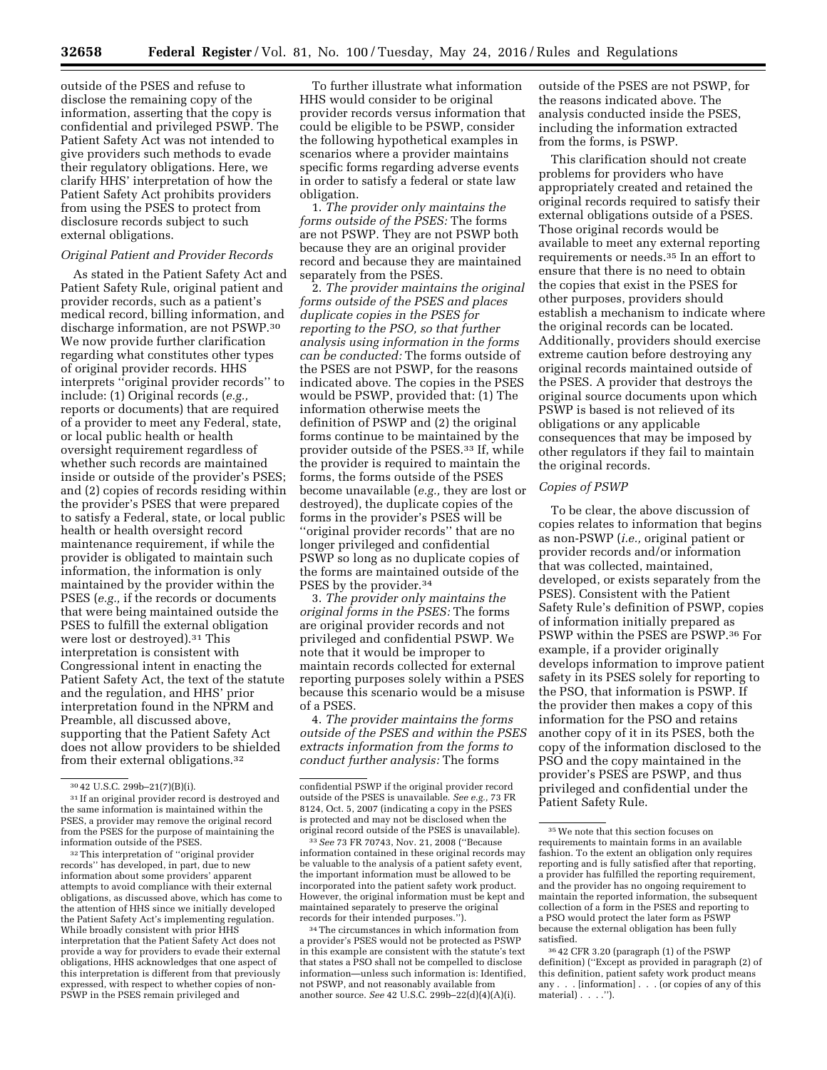outside of the PSES and refuse to disclose the remaining copy of the information, asserting that the copy is confidential and privileged PSWP. The Patient Safety Act was not intended to give providers such methods to evade their regulatory obligations. Here, we clarify HHS' interpretation of how the Patient Safety Act prohibits providers from using the PSES to protect from disclosure records subject to such external obligations.

#### *Original Patient and Provider Records*

As stated in the Patient Safety Act and Patient Safety Rule, original patient and provider records, such as a patient's medical record, billing information, and discharge information, are not PSWP.30 We now provide further clarification regarding what constitutes other types of original provider records. HHS interprets ''original provider records'' to include: (1) Original records (*e.g.,*  reports or documents) that are required of a provider to meet any Federal, state, or local public health or health oversight requirement regardless of whether such records are maintained inside or outside of the provider's PSES; and (2) copies of records residing within the provider's PSES that were prepared to satisfy a Federal, state, or local public health or health oversight record maintenance requirement, if while the provider is obligated to maintain such information, the information is only maintained by the provider within the PSES (*e.g.,* if the records or documents that were being maintained outside the PSES to fulfill the external obligation were lost or destroyed).31 This interpretation is consistent with Congressional intent in enacting the Patient Safety Act, the text of the statute and the regulation, and HHS' prior interpretation found in the NPRM and Preamble, all discussed above, supporting that the Patient Safety Act does not allow providers to be shielded from their external obligations.32

32This interpretation of ''original provider records'' has developed, in part, due to new information about some providers' apparent attempts to avoid compliance with their external obligations, as discussed above, which has come to the attention of HHS since we initially developed the Patient Safety Act's implementing regulation. While broadly consistent with prior HHS interpretation that the Patient Safety Act does not provide a way for providers to evade their external obligations, HHS acknowledges that one aspect of this interpretation is different from that previously expressed, with respect to whether copies of non-PSWP in the PSES remain privileged and

To further illustrate what information HHS would consider to be original provider records versus information that could be eligible to be PSWP, consider the following hypothetical examples in scenarios where a provider maintains specific forms regarding adverse events in order to satisfy a federal or state law obligation.

1. *The provider only maintains the forms outside of the PSES:* The forms are not PSWP. They are not PSWP both because they are an original provider record and because they are maintained separately from the PSES.

2. *The provider maintains the original forms outside of the PSES and places duplicate copies in the PSES for reporting to the PSO, so that further analysis using information in the forms can be conducted:* The forms outside of the PSES are not PSWP, for the reasons indicated above. The copies in the PSES would be PSWP, provided that: (1) The information otherwise meets the definition of PSWP and (2) the original forms continue to be maintained by the provider outside of the PSES.33 If, while the provider is required to maintain the forms, the forms outside of the PSES become unavailable (*e.g.,* they are lost or destroyed), the duplicate copies of the forms in the provider's PSES will be ''original provider records'' that are no longer privileged and confidential PSWP so long as no duplicate copies of the forms are maintained outside of the PSES by the provider.34

3. *The provider only maintains the original forms in the PSES:* The forms are original provider records and not privileged and confidential PSWP. We note that it would be improper to maintain records collected for external reporting purposes solely within a PSES because this scenario would be a misuse of a PSES.

4. *The provider maintains the forms outside of the PSES and within the PSES extracts information from the forms to conduct further analysis:* The forms

33*See* 73 FR 70743, Nov. 21, 2008 (''Because information contained in these original records may be valuable to the analysis of a patient safety event, the important information must be allowed to be incorporated into the patient safety work product. However, the original information must be kept and maintained separately to preserve the original records for their intended purposes.'').

34The circumstances in which information from a provider's PSES would not be protected as PSWP in this example are consistent with the statute's text that states a PSO shall not be compelled to disclose information—unless such information is: Identified, not PSWP, and not reasonably available from another source. *See* 42 U.S.C. 299b–22(d)(4)(A)(i).

outside of the PSES are not PSWP, for the reasons indicated above. The analysis conducted inside the PSES, including the information extracted from the forms, is PSWP.

This clarification should not create problems for providers who have appropriately created and retained the original records required to satisfy their external obligations outside of a PSES. Those original records would be available to meet any external reporting requirements or needs.35 In an effort to ensure that there is no need to obtain the copies that exist in the PSES for other purposes, providers should establish a mechanism to indicate where the original records can be located. Additionally, providers should exercise extreme caution before destroying any original records maintained outside of the PSES. A provider that destroys the original source documents upon which PSWP is based is not relieved of its obligations or any applicable consequences that may be imposed by other regulators if they fail to maintain the original records.

# *Copies of PSWP*

To be clear, the above discussion of copies relates to information that begins as non-PSWP (*i.e.,* original patient or provider records and/or information that was collected, maintained, developed, or exists separately from the PSES). Consistent with the Patient Safety Rule's definition of PSWP, copies of information initially prepared as PSWP within the PSES are PSWP.36 For example, if a provider originally develops information to improve patient safety in its PSES solely for reporting to the PSO, that information is PSWP. If the provider then makes a copy of this information for the PSO and retains another copy of it in its PSES, both the copy of the information disclosed to the PSO and the copy maintained in the provider's PSES are PSWP, and thus privileged and confidential under the Patient Safety Rule.

<sup>30</sup> 42 U.S.C. 299b–21(7)(B)(i).

<sup>31</sup> If an original provider record is destroyed and the same information is maintained within the PSES, a provider may remove the original record from the PSES for the purpose of maintaining the information outside of the PSES.

confidential PSWP if the original provider record outside of the PSES is unavailable. *See e.g.,* 73 FR 8124, Oct. 5, 2007 (indicating a copy in the PSES is protected and may not be disclosed when the original record outside of the PSES is unavailable).

<sup>35</sup>We note that this section focuses on requirements to maintain forms in an available fashion. To the extent an obligation only requires reporting and is fully satisfied after that reporting, a provider has fulfilled the reporting requirement, and the provider has no ongoing requirement to maintain the reported information, the subsequent collection of a form in the PSES and reporting to a PSO would protect the later form as PSWP because the external obligation has been fully satisfied.

<sup>36</sup> 42 CFR 3.20 (paragraph (1) of the PSWP definition) (''Except as provided in paragraph (2) of this definition, patient safety work product means any . . . [information] . . . (or copies of any of this material) . . . .").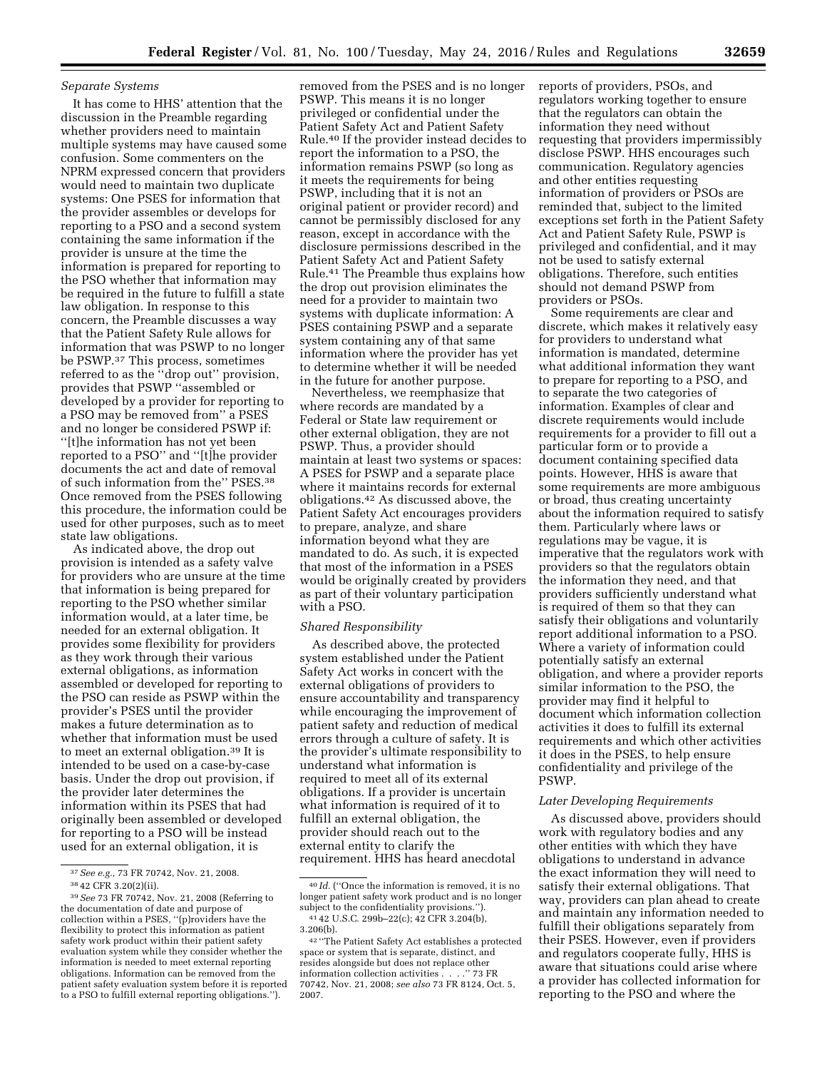### *Separate Systems*

It has come to HHS' attention that the discussion in the Preamble regarding whether providers need to maintain multiple systems may have caused some confusion. Some commenters on the NPRM expressed concern that providers would need to maintain two duplicate systems: One PSES for information that the provider assembles or develops for reporting to a PSO and a second system containing the same information if the provider is unsure at the time the information is prepared for reporting to the PSO whether that information may be required in the future to fulfill a state law obligation. In response to this concern, the Preamble discusses a way that the Patient Safety Rule allows for information that was PSWP to no longer be PSWP.37 This process, sometimes referred to as the ''drop out'' provision, provides that PSWP ''assembled or developed by a provider for reporting to a PSO may be removed from'' a PSES and no longer be considered PSWP if: ''[t]he information has not yet been reported to a PSO'' and ''[t]he provider documents the act and date of removal of such information from the'' PSES.38 Once removed from the PSES following this procedure, the information could be used for other purposes, such as to meet state law obligations.

As indicated above, the drop out provision is intended as a safety valve for providers who are unsure at the time that information is being prepared for reporting to the PSO whether similar information would, at a later time, be needed for an external obligation. It provides some flexibility for providers as they work through their various external obligations, as information assembled or developed for reporting to the PSO can reside as PSWP within the provider's PSES until the provider makes a future determination as to whether that information must be used to meet an external obligation.39 It is intended to be used on a case-by-case basis. Under the drop out provision, if the provider later determines the information within its PSES that had originally been assembled or developed for reporting to a PSO will be instead used for an external obligation, it is

removed from the PSES and is no longer PSWP. This means it is no longer privileged or confidential under the Patient Safety Act and Patient Safety Rule.40 If the provider instead decides to report the information to a PSO, the information remains PSWP (so long as it meets the requirements for being PSWP, including that it is not an original patient or provider record) and cannot be permissibly disclosed for any reason, except in accordance with the disclosure permissions described in the Patient Safety Act and Patient Safety Rule.41 The Preamble thus explains how the drop out provision eliminates the need for a provider to maintain two systems with duplicate information: A PSES containing PSWP and a separate system containing any of that same information where the provider has yet to determine whether it will be needed in the future for another purpose.

Nevertheless, we reemphasize that where records are mandated by a Federal or State law requirement or other external obligation, they are not PSWP. Thus, a provider should maintain at least two systems or spaces: A PSES for PSWP and a separate place where it maintains records for external obligations.42 As discussed above, the Patient Safety Act encourages providers to prepare, analyze, and share information beyond what they are mandated to do. As such, it is expected that most of the information in a PSES would be originally created by providers as part of their voluntary participation with a PSO.

#### *Shared Responsibility*

As described above, the protected system established under the Patient Safety Act works in concert with the external obligations of providers to ensure accountability and transparency while encouraging the improvement of patient safety and reduction of medical errors through a culture of safety. It is the provider's ultimate responsibility to understand what information is required to meet all of its external obligations. If a provider is uncertain what information is required of it to fulfill an external obligation, the provider should reach out to the external entity to clarify the requirement. HHS has heard anecdotal

reports of providers, PSOs, and regulators working together to ensure that the regulators can obtain the information they need without requesting that providers impermissibly disclose PSWP. HHS encourages such communication. Regulatory agencies and other entities requesting information of providers or PSOs are reminded that, subject to the limited exceptions set forth in the Patient Safety Act and Patient Safety Rule, PSWP is privileged and confidential, and it may not be used to satisfy external obligations. Therefore, such entities should not demand PSWP from providers or PSOs.

Some requirements are clear and discrete, which makes it relatively easy for providers to understand what information is mandated, determine what additional information they want to prepare for reporting to a PSO, and to separate the two categories of information. Examples of clear and discrete requirements would include requirements for a provider to fill out a particular form or to provide a document containing specified data points. However, HHS is aware that some requirements are more ambiguous or broad, thus creating uncertainty about the information required to satisfy them. Particularly where laws or regulations may be vague, it is imperative that the regulators work with providers so that the regulators obtain the information they need, and that providers sufficiently understand what is required of them so that they can satisfy their obligations and voluntarily report additional information to a PSO. Where a variety of information could potentially satisfy an external obligation, and where a provider reports similar information to the PSO, the provider may find it helpful to document which information collection activities it does to fulfill its external requirements and which other activities it does in the PSES, to help ensure confidentiality and privilege of the PSWP.

## *Later Developing Requirements*

As discussed above, providers should work with regulatory bodies and any other entities with which they have obligations to understand in advance the exact information they will need to satisfy their external obligations. That way, providers can plan ahead to create and maintain any information needed to fulfill their obligations separately from their PSES. However, even if providers and regulators cooperate fully, HHS is aware that situations could arise where a provider has collected information for reporting to the PSO and where the

<sup>37</sup>*See e.g.,* 73 FR 70742, Nov. 21, 2008. 38 42 CFR 3.20(2)(ii).

<sup>39</sup>*See* 73 FR 70742, Nov. 21, 2008 (Referring to the documentation of date and purpose of collection within a PSES, ''(p)roviders have the flexibility to protect this information as patient safety work product within their patient safety evaluation system while they consider whether the information is needed to meet external reporting obligations. Information can be removed from the patient safety evaluation system before it is reported to a PSO to fulfill external reporting obligations.'').

<sup>40</sup> *Id.* (''Once the information is removed, it is no longer patient safety work product and is no longer subject to the confidentiality provisions."). <sup>41</sup> 42 U.S.C. 299b-22(c); 42 CFR 3.204(b), 3.206(b).

<sup>42</sup> ''The Patient Safety Act establishes a protected space or system that is separate, distinct, and resides alongside but does not replace other information collection activities . . . .'' 73 FR 70742, Nov. 21, 2008; *see also* 73 FR 8124, Oct. 5, 2007.